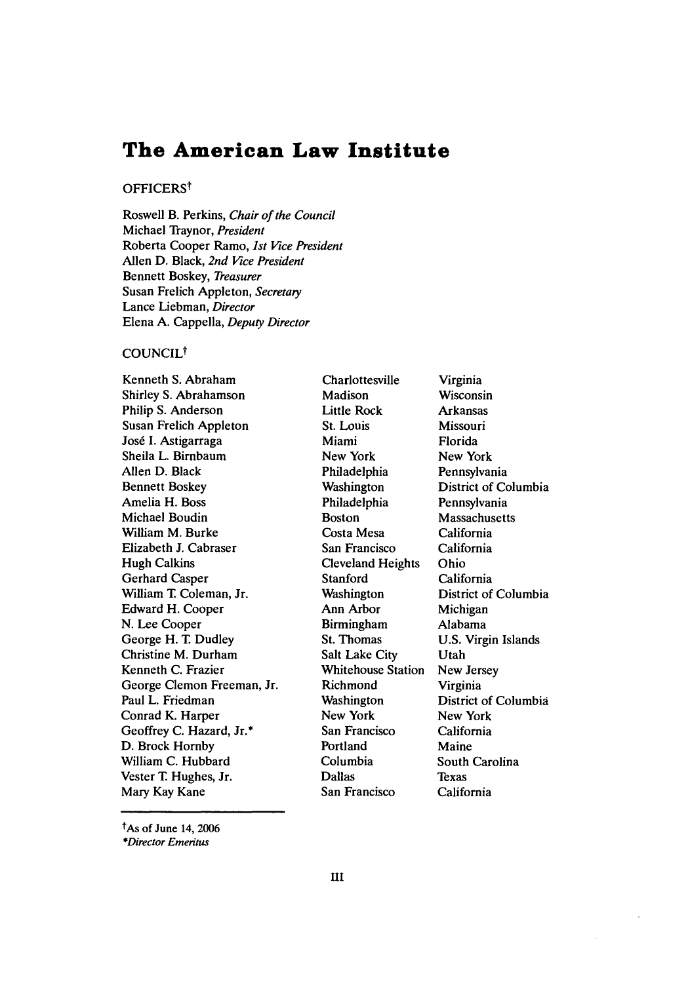# **The American Law Institute**

# OFFICERS<sup>t</sup>

Roswell B. Perkins, *Chair of the Council* Michael Traynor, *President* Roberta Cooper Ramo, *1st Vice President* Allen D. Black, *2nd Vice President* Bennett Boskey, *Treasurer* Susan Frelich Appleton, *Secretary* Lance Liebman, *Director* Elena A. Cappella, *Deputy Director*

# COUNCIL<sup>†</sup>

Kenneth S. Abraham Shirley S. Abrahamson Philip S. Anderson Susan Frelich Appleton José I. Astigarraga Sheila L. Birnbaum Allen D. Black Bennett Boskey Amelia H. Boss Michael Boudin William M. Burke Elizabeth J. Cabraser Hugh Calkins Gerhard Casper William T. Coleman, Jr. Edward H. Cooper N. Lee Cooper George H. T. Dudley Christine M. Durham Kenneth C. Frazier George Clemon Freeman, Jr. Paul L. Friedman Conrad K. Harper Geoffrey C. Hazard, Jr.\* D. Brock Hornby William C. Hubbard Vester T. Hughes, Jr. Mary Kay Kane

Charlottesville Madison Little Rock St. Louis Miami New York Philadelphia Washington Philadelphia Boston Costa Mesa San Francisco Cleveland Heights **Stanford** Washington Ann Arbor Birmingham St. Thomas Salt Lake City Whitehouse Station Richmond **Washington** New York San Francisco Portland Columbia Dallas San Francisco

Virginia Wisconsin Arkansas Missouri Florida New York Pennsylvania District of Columbia Pennsylvania **Massachusetts** California California Ohio California District of Columbia Michigan Alabama U.S. Virgin Islands Utah New Jersey Virginia District of Columbia New York California Maine South Carolina Texas California

tAs of June 14, 2006 *\*Director Emeritus*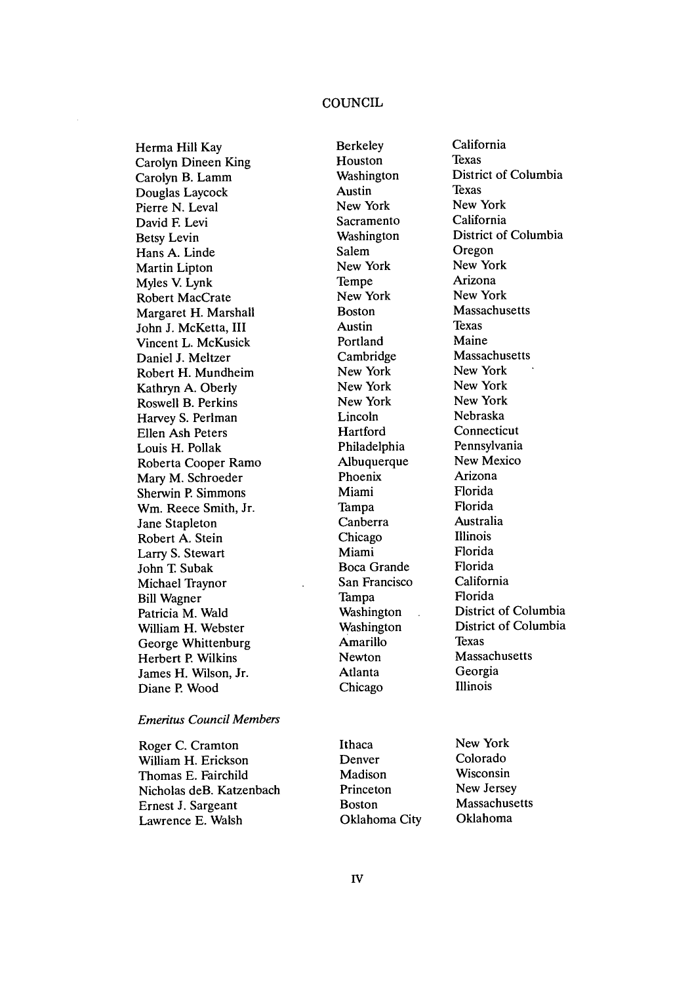# **COUNCIL**

Herma Hill Kay Carolyn Dineen King Carolyn B. Lamm Douglas Laycock Pierre N. Leval David E Levi Betsy Levin Hans A. Linde Martin Lipton Myles V. Lynk Robert MacCrate Margaret H. Marshall John J. McKetta, III Vincent L. McKusick Daniel J. Meltzer Robert H. Mundheim Kathryn A. Oberly Roswell B. Perkins Harvey S. Perlman Ellen Ash Peters Louis H. Pollak Roberta Cooper Ramo Mary M. Schroeder Sherwin P. Simmons Wm. Reece Smith, Jr. Jane Stapleton Robert A. Stein Larry S. Stewart John T. Subak Michael Traynor Bill Wagner Patricia M. Wald William H. Webster George Whittenburg Herbert P. Wilkins James H. Wilson, Jr. Diane P. Wood

### *Emeritus Council Members*

Roger C. Cramton William H. Erickson Thomas E. Fairchild Nicholas deB. Katzenbach Ernest J. Sargeant Lawrence E. Walsh

Berkeley Houston Washington Austin New York Sacramento Washington Salem New York Tempe New York Boston Austin Portland Cambridge New York New York New York Lincoln **Hartford** Philadelphia Albuquerque Phoenix Miami Tampa Canberra Chicago Miami Boca Grande San Francisco Tampa Washington Washington Amarillo Newton Atlanta Chicago

California Texas District of Columbia Texas New York California District of Columbia Oregon New York Arizona New York Massachusetts Texas Maine Massachusetts New York New York New York Nebraska Connecticut Pennsylvania New Mexico Arizona Florida Florida Australia Illinois Florida Florida California Florida District of Columbia District of Columbia Texas Massachusetts Georgia Illinois

Ithaca Denver Madison Princeton Boston Oklahoma City New York Colorado Wisconsin New Jersey Massachusetts Oklahoma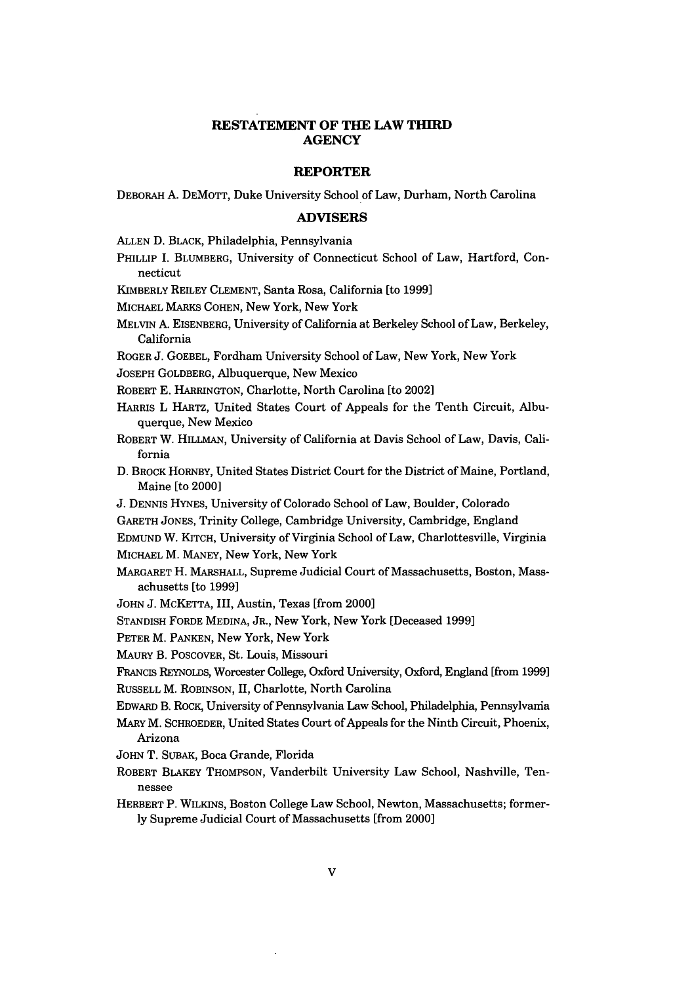# **RESTATEMENT OF THE LAW THIRD AGENCY**

### **REPORTER**

DEBORAH A. DEMOTT, Duke University School of Law, Durham, North Carolina

### **ADVISERS**

**ALLEN D.** BLACK, Philadelphia, Pennsylvania

PHILLIP I. BLUMBERG, University of Connecticut School of Law, Hartford, Connecticut

KIMBERLY REILEY **CLEMENT,** Santa Rosa, California [to **1999]**

MICHAEL MARKS COHEN, New York, New York

- MELVIN **A. EISENBERG,** University of California at Berkeley School of Law, Berkeley, California
- ROGER **J. GOEBEL,** Fordham University School of Law, New York, New York

**JOSEPH** GOLDBERG, Albuquerque, New Mexico

ROBERT **E.** HARRINGTON, Charlotte, North Carolina [to 2002]

- HARRIS L HARTZ, United States Court of Appeals for the Tenth Circuit, Albuquerque, New Mexico
- ROBERT W. HILLMAN, University of California at Davis School of Law, Davis, California
- **D.** BROCK HORNBY, United States District Court for the District of Maine, Portland, Maine [to 2000]
- **J.** DENNIS HYNES, University of Colorado School of Law, Boulder, Colorado
- GARETH JONES, Trinity College, Cambridge University, Cambridge, England

**EDMUND** W. KITCH, University of Virginia School of Law, Charlottesville, Virginia

MICHAEL M. **MANEY,** New York, New York

- MARGARET H. MARSHALL, Supreme Judicial Court of Massachusetts, Boston, Massachusetts [to **1999]**
- JOHN **J.** McKETTA, III, Austin, Texas [from 2000]
- STANDISH FORDE **MEDINA,** JR., New York, New York [Deceased **1999]**
- PETER M. **PANKEN,** New York, New York

MAURY B. POSCOVER, St. Louis, Missouri

FRANCIS REYNOLDS, Worcester College, Oxford University, Oxford, England [from **1999]** RUSSELL M. **ROBINSON,** II, Charlotte, North Carolina

EDwARD B. ROCK, University of Pennsylvania Law School, Philadelphia, Pennsylvania

- MARY M. SCHROEDER, United States Court of Appeals for the Ninth Circuit, Phoenix, Arizona
- JOHN T. SUBAK, Boca Grande, Florida
- ROBERT BLAKEY **THOMPSON,** Vanderbilt University Law School, Nashville, Tennessee
- HERBERT P. WILKINS, Boston College Law School, Newton, Massachusetts; former**ly** Supreme Judicial Court of Massachusetts [from 2000]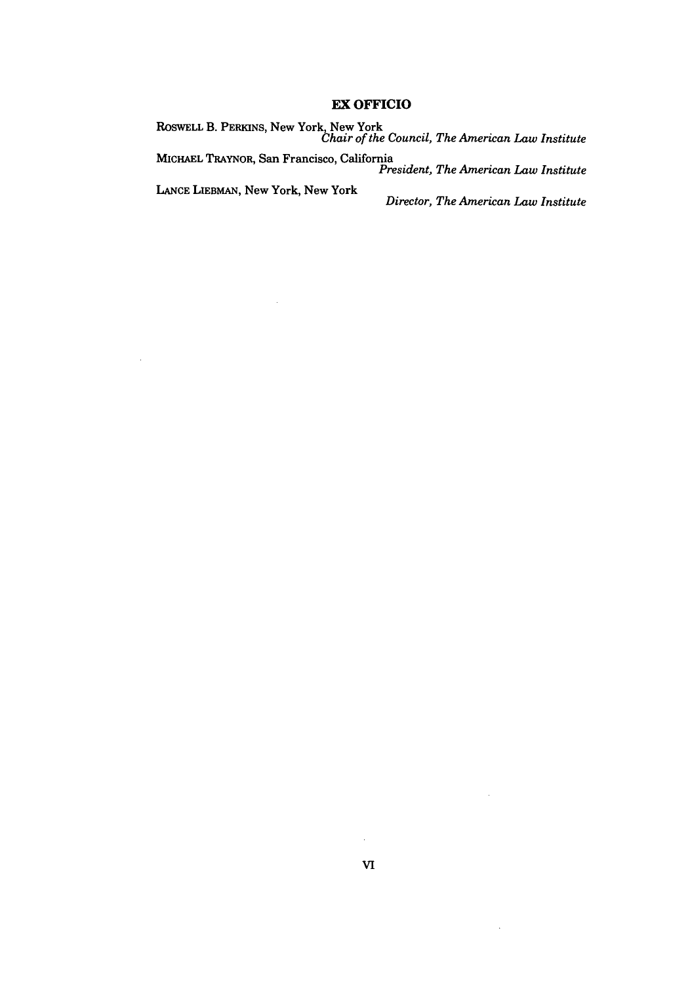# **EX OFFICIO**

ROSWELL **B.** PERKINS, New York, New York *Chair of the Council, The American Law Institute*

**MICHAEL** TRAYNOR, San Francisco, California *President, The American Law Institute*

 $\bar{\beta}$ 

 $\bar{z}$ 

**LANCE LIEBMAN,** New York, New York *Director, The American Law Institute*

 $\bar{z}$ 

 $\ddot{\phantom{a}}$ 

 $\hat{\mathcal{L}}$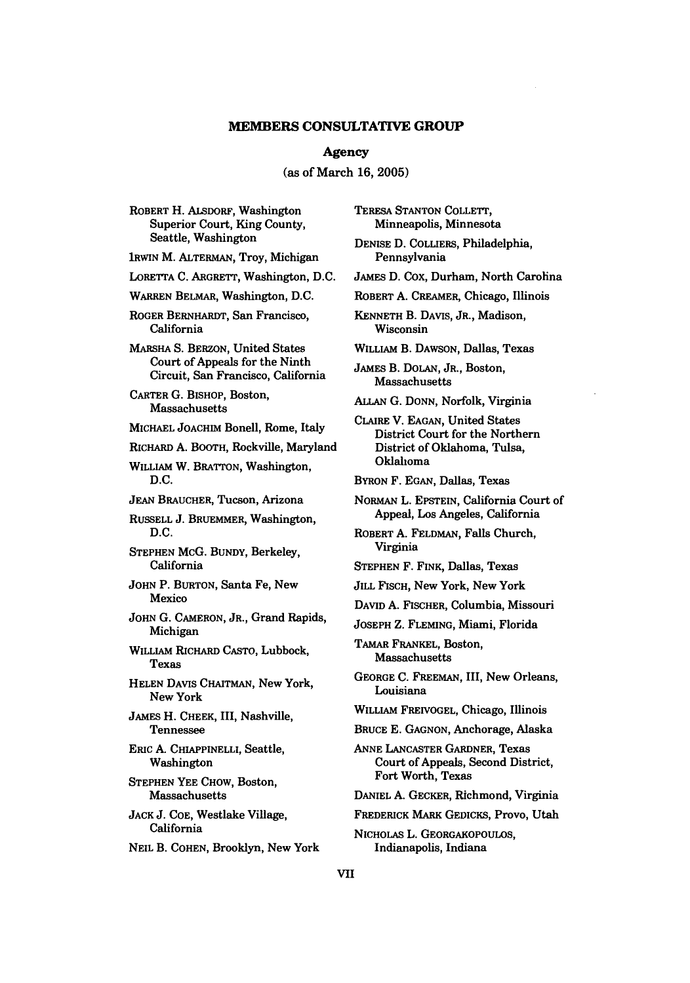#### **Agency**

## (as of March **16, 2005)**

ROBERT H. ALSDORF, Washington Superior Court, King County, Seattle, Washington

IRWIN M. ALTERMAN, Troy, Michigan

LORETTA **C.** ARGRETT, Washington, **D.C.**

WARREN BELMAR, Washington, **D.C.**

ROGER BERNHARDT, San Francisco, California

MARSHA **S.** BERZON, United States Court of Appeals for the Ninth Circuit, San Francisco, California

CARTER **G.** BISHOP, Boston, Massachusetts

MICHAEL JOACHIM Bonell, Rome, Italy

RICHARD **A.** BOOTH, Rockville, Maryland

WILLIAM W. BRATTON, Washington, **D.C.**

**JEAN** BRAUCHER, Tucson, Arizona

RUSSELL **J.** BRUEMMER, Washington, D.C.

STEPHEN McG. BUNDY, Berkeley, California

JOHN P. BURTON, Santa Fe, New Mexico

**JOHN G.** CAMERON, JR., Grand Rapids, Michigan

WILLIAM RICHARD CASTO, Lubbock, Texas

HELEN DAVIS CHAITMAN, New York, New York

JAMES H. **CHEEK,** III, Nashville, Tennessee

ERIC A. CHIAPPINELLI, Seattle, Washington

STEPHEN YEE CHOW, Boston, Massachusetts

**JACK** J. COE, Westlake Village, California

**NEIL** B. **COHEN,** Brooklyn, New York

TERESA **STANTON** COLLETT, Minneapolis, Minnesota

**DENISE D.** COLLIERS, Philadelphia, Pennsylvania

JAMES D. Cox, Durham, North Carolina

ROBERT **A.** CREAMER, Chicago, Illinois

**KENNETH B.** DAVIS, JR., Madison, Wisconsin

WILLIAM B. DAWSON, Dallas, Texas

JAMES B. DOLAN, JR., Boston, Massachusetts

**ALLAN** G. **DONN,** Norfolk, Virginia

CLAIRE V. EAGAN, United States District Court for the Northern District of Oklahoma, Tulsa, Oklahoma

BYRON F. EGAN, Dallas, Texas

NORMAN L. EPSTEIN, California Court of Appeal, Los Angeles, California

ROBERT A. FELDMAN, Falls Church, Virginia

STEPHEN F. FINK, Dallas, Texas

JILL FISCH, New York, New York

DAVID **A.** FISCHER, Columbia, Missouri

JOSEPH Z. FLEMING, Miami, Florida

TAMAR FRANKEL, Boston, Massachusetts

GEORGE **C.** FREEMAN, III, New Orleans, Louisiana

WILLIAM FREIVOGEL, Chicago, Illinois

BRUCE E. GAGNON, Anchorage, Alaska

**ANNE LANCASTER** GARDNER, Texas Court of Appeals, Second District, Fort Worth, Texas

**DANIEL A.** GECKER, Richmond, Virginia

FREDERICK MARK GEDICKS, Provo, Utah

NICHOLAS L. **GEORGAKOPOULOS,** Indianapolis, Indiana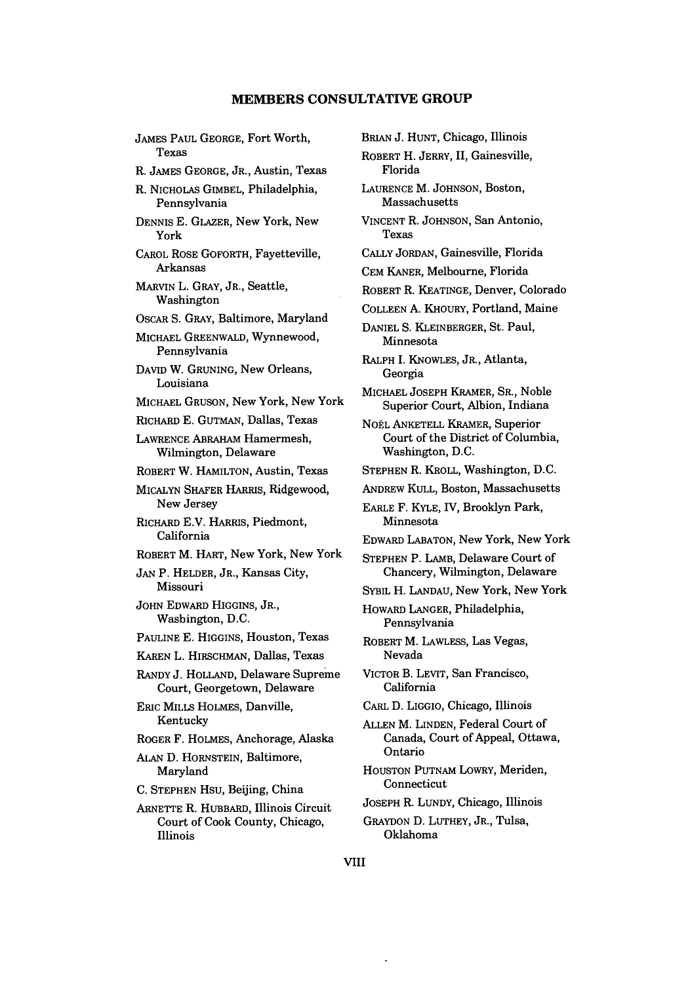JAMES PAUL GEORGE, Fort Worth, Texas R. JAMES GEORGE, JR., Austin, Texas R. NICHOLAS GIMBEL, Philadelphia, Pennsylvania DENNIS E. GLAZER, New York, New York CAROL ROSE GOFORTH, Fayetteville, Arkansas MARVIN L. GRAY, JR., Seattle, Washington OSCAR S. GRAY, Baltimore, Maryland MICHAEL GREENWALD, Wynnewood, Pennsylvania DAVID W. GRUNING, New Orleans, Louisiana MICHAEL GRUSON, New York, New York RICHARD E. GUTMAN, Dallas, Texas LAWRENCE ABRAHAM Hamermesh, Wilmington, Delaware ROBERT W. HAMILTON, Austin, Texas MICALYN SHAFER HARRIS, Ridgewood, New Jersey RICHARD E.V. HARRIS, Piedmont, California ROBERT M. HART, New York, New York **JAN** P. HELDER, JR., Kansas City, Missouri JOHN EDWARD HIGGINS, JR., Washington, D.C. PAULINE E. HIGGINS, Houston, Texas KAREN L. HIRSCHMAN, Dallas, Texas RANDY **J.** HOLLAND, Delaware Supreme Court, Georgetown, Delaware ERIC MILLS HOLMES, Danville, Kentucky ROGER F. HOLMES, Anchorage, Alaska **ALAN** D. HORNSTEIN, Baltimore, Maryland **C.** STEPHEN HSU, Beijing, China ARNETTE R. HUBBARD, Illinois Circuit Court of Cook County, Chicago, Illinois

BRIAN J. HUNT, Chicago, Illinois ROBERT H. JERRY, II, Gainesville, Florida LAURENCE M. JOHNSON, Boston, Massachusetts VINCENT R. JOHNSON, San Antonio, Texas CALLY JORDAN, Gainesville, Florida CEM KANER, Melbourne, Florida ROBERT R. KEATINGE, Denver, Colorado COLLEEN **A.** KHOURY, Portland, Maine DANIEL S. KLEINBERGER, St. Paul, Minnesota RALPH **I.** KNOWLES, JR., Atlanta, Georgia MICHAEL JOSEPH KRAMER, SR., Noble Superior Court, Albion, Indiana NOËL ANKETELL KRAMER, Superior Court of the District of Columbia, Washington, D.C. STEPHEN R. KROLL, Washington, D.C. ANDREW KULL, Boston, Massachusetts EARLE F. KYLE, IV, Brooklyn Park, Minnesota EDWARD LABATON, New York, New York STEPHEN P. LAMB, Delaware Court of Chancery, Wilmington, Delaware SYBIL H. LANDAU, New York, New York HOWARD LANGER, Philadelphia, Pennsylvania ROBERT M. LAWLESS, Las Vegas, Nevada VICTOR B. LEVIT, San Francisco, California CARL D. **LIGGIO,** Chicago, Illinois ALLEN M. LINDEN, Federal Court of Canada, Court of Appeal, Ottawa, Ontario HOUSTON PUTNAM LOWRY, Meriden, Connecticut JOSEPH R. LUNDY, Chicago, Illinois GRAYDON D. LUTHEY, JR., Tulsa, Oklahoma

**VIII**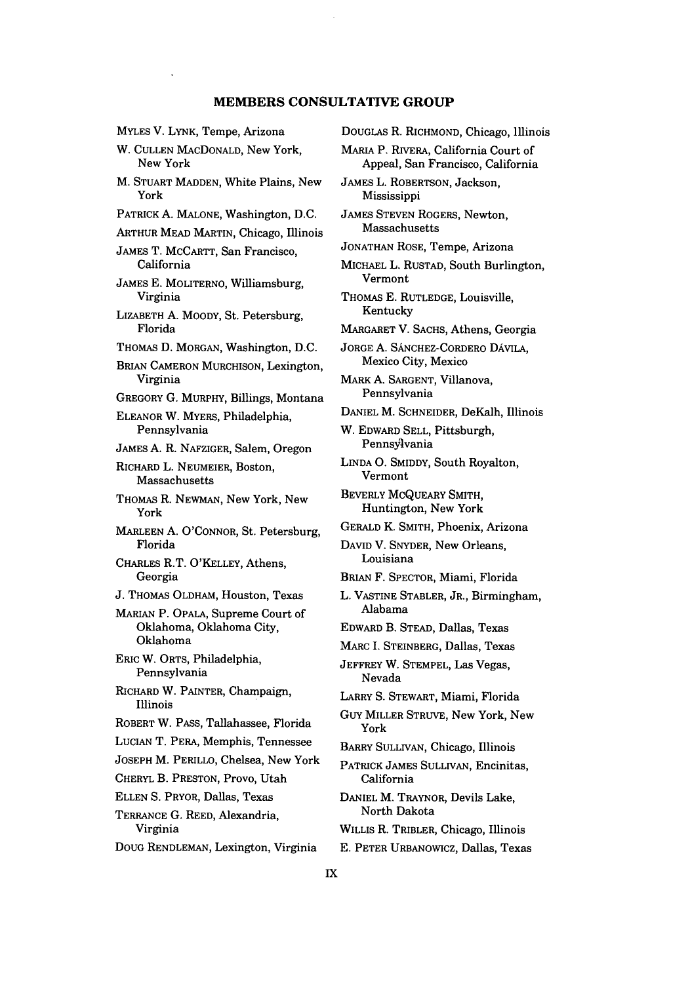MYLES V. LYNK, Tempe, Arizona W. CULLEN MACDONALD, New York, New York M. STUART MADDEN, White Plains, New York PATRICK A. MALONE, Washington, D.C. ARTHUR MEAD MARTIN, Chicago, Illinois JAMES T. MCCARTT, San Francisco, California JAMES E. MOLITERNO, Williamsburg, Virginia LIZABETH A. MOODY, St. Petersburg, Florida THOMAS D. MORGAN, Washington, D.C. BRIAN CAMERON MURCHISON, Lexington, Virginia GREGORY G. MURPHY, Billings, Montana ELEANOR W. MYERS, Philadelphia, Pennsylvania JAMES **A.** R. NAFZIGER, Salem, Oregon RICHARD L. NEUMEIER, Boston, Massachusetts THOMAS R. NEWMAN, New York, New York MARLEEN A. O'CONNOR, St. Petersburg, Florida CHARLES R.T. O'KELLEY, Athens, Georgia J. THOMAS OLDHAM, Houston, Texas MARIAN P. OPALA, Supreme Court of Oklahoma, Oklahoma City, Oklahoma ERIC W. ORTS, Philadelphia, Pennsylvania RICHARD W. PAINTER, Champaign, Illinois ROBERT W. PASS, Tallahassee, Florida LUCIAN T. PERA, Memphis, Tennessee JOSEPH M. PERILLO, Chelsea, New York CHERYL B. PRESTON, Provo, Utah ELLEN S. PRYOR, Dallas, Texas TERRANCE **G.** REED, Alexandria, Virginia DOUG RENDLEMAN, Lexington, Virginia

DOUGLAS R. RICHMOND, Chicago, Illinois MARIA P. RIVERA, California Court of Appeal, San Francisco, California JAMES L. ROBERTSON, Jackson, Mississippi JAMES STEVEN ROGERS, Newton, Massachusetts JONATHAN ROSE, Tempe, Arizona MICHAEL L. RUSTAD, South Burlington, Vermont THOMAS E. RUTLEDGE, Louisville, Kentucky MARGARET V. SACHS, Athens, Georgia JORGE A. SANCHEZ-CORDERO DAVILA, Mexico City, Mexico MARK A. SARGENT, Villanova, Pennsylvania DANIEL M. SCHNEIDER, DeKalb, Illinois W. EDWARD SELL, Pittsburgh, Pennsylvania LINDA **0.** SMIDDY, South Royalton, Vermont BEVERLY MCQUEARY SMITH, Huntington, New York GERALD K. SMITH, Phoenix, Arizona DAVID V. SNYDER, New Orleans, Louisiana BRIAN F. SPECTOR, Miami, Florida L. VASTINE STABLER, JR., Birmingham, Alabama EDWARD B. STEAD, Dallas, Texas MARC I. STEINBERG, Dallas, Texas JEFFREY W. STEMPEL, Las Vegas, Nevada LARRY S. STEWART, Miami, Florida GuY MILLER STRUVE, New York, New York BARRY SULLIVAN, Chicago, Illinois PATRICK JAMES SULLIVAN, Encinitas, California DANIEL M. TRAYNOR, Devils Lake, North Dakota WILLIS R. TRIBLER, Chicago, Illinois **E.** PETER URBANOWICZ, Dallas, Texas